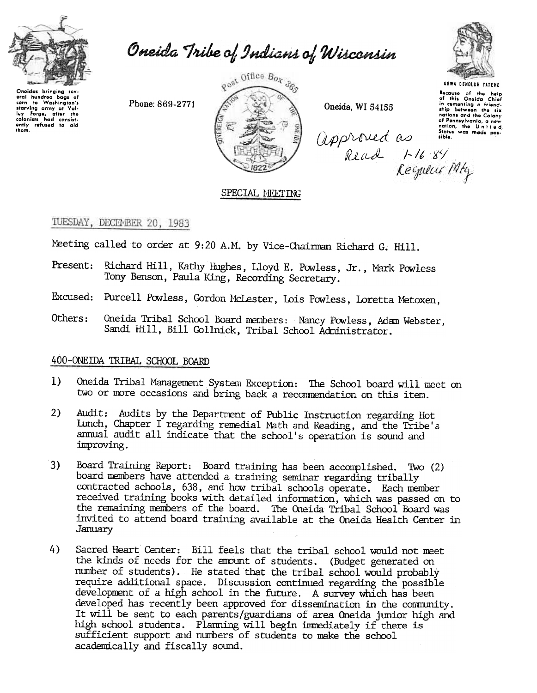

them.

Oneida Tribe of Indians of Wisconsin

eral hundred bags of corn to Washington's<br>starving army at Val-<br>ley Forge, after the<br>colonists had consist-<br>ently refused to aid

Phone: 869-2771



Oneida, WI 54155

**UGWA BEHOLUN YATENE** 

Because of the help<br>of this Oneida Chief in comenting a friendsnip between the six<br>nations and the Colony<br>of Pennsylvania, a new<br>nation, the United<br>States was made pos-<br>sible. approved as states was m

SPECIAL MEETING

## TUESDAY, DECEMBER 20, 1983

Meeting called to order at 9:20 A.M. by Vice-Chairman Richard G. Hill.

- Present: Richard Hill, Kathy Hughes, Lloyd E. Powless, Jr., Mark Powless Tony Benson, Paula King, Recording Secretary.
- Excused: Purcell Powless, Gordon McLester, Lois Powless, Loretta Metoxen,
- Oneida Tribal School Board members: Nancy Powless, Adam Webster, Others: Sandi Hill, Bill Gollnick, Tribal School Administrator.

## 400-ONEIDA TRIBAL SCHOOL BOARD

- $1)$ Oneida Tribal Management System Exception: The School board will meet on two or more occasions and bring back a recommendation on this item.
- $2)$ Audit: Audits by the Department of Public Instruction regarding Hot Lunch, Chapter I regarding remedial Math and Reading, and the Tribe's annual audit all indicate that the school's operation is sound and improving.
- Board Training Report: Board training has been accomplished. Two (2) 3) board members have attended a training seminar regarding tribally contracted schools, 638, and how tribal schools operate. Each member received training books with detailed information, which was passed on to the remaining members of the board. The Oneida Tribal School Board was invited to attend board training available at the Oneida Health Center in January
- Sacred Heart Center: Bill feels that the tribal school would not meet 4) the kinds of needs for the amount of students. (Budget generated on number of students). He stated that the tribal school would probably require additional space. Discussion continued regarding the possible development of a high school in the future. A survey which has been developed has recently been approved for dissemination in the community. It will be sent to each parents/guardians of area Oneida junior high and high school students. Planning will begin immediately if there is sufficient support and numbers of students to make the school academically and fiscally sound.